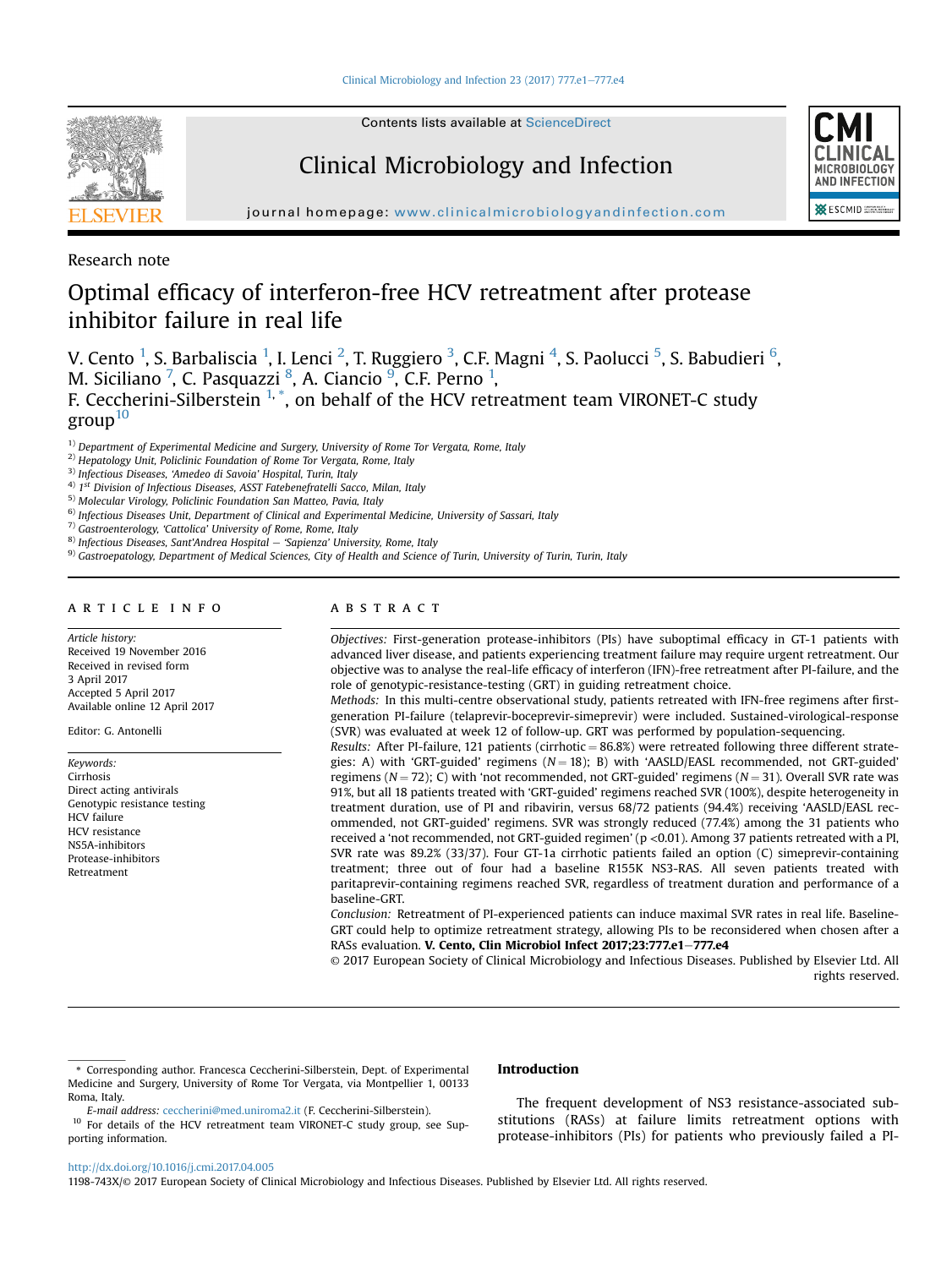

Contents lists available at [ScienceDirect](www.sciencedirect.com/science/journal/1198743X)

## Clinical Microbiology and Infection



journal homepage: [www.clinicalmicrobiologyandinfection.com](http://www.clinicalmicrobiologyandinfection.com)

Research note

# Optimal efficacy of interferon-free HCV retreatment after protease inhibitor failure in real life

V. Cento <sup>1</sup>, S. Barbaliscia <sup>1</sup>, I. Lenci <sup>2</sup>, T. Ruggiero <sup>3</sup>, C.F. Magni <sup>4</sup>, S. Paolucci <sup>5</sup>, S. Babudieri <sup>6</sup>, M. Siciliano <sup>7</sup>, C. Pasquazzi <sup>8</sup>, A. Ciancio <sup>9</sup>, C.F. Perno <sup>1</sup>, F. Ceccherini-Silberstein <sup>1, \*</sup>, on behalf of the HCV retreatment team VIRONET-C study  $\text{group}^{10}$ 

 $1)$  Department of Experimental Medicine and Surgery, University of Rome Tor Vergata, Rome, Italy

<sup>2)</sup> Hepatology Unit, Policlinic Foundation of Rome Tor Vergata, Rome, Italy

3) Infectious Diseases, 'Amedeo di Savoia' Hospital, Turin, Italy

 $4)$  1<sup>st</sup> Division of Infectious Diseases, ASST Fatebenefratelli Sacco, Milan, Italy

5) Molecular Virology, Policlinic Foundation San Matteo, Pavia, Italy

<sup>6)</sup> Infectious Diseases Unit, Department of Clinical and Experimental Medicine, University of Sassari, Italy

7) Gastroenterology, 'Cattolica' University of Rome, Rome, Italy

 $8)$  Infectious Diseases, Sant'Andrea Hospital - 'Sapienza' University, Rome, Italy

9) Gastroepatology, Department of Medical Sciences, City of Health and Science of Turin, University of Turin, Turin, Italy

#### article info

Article history: Received 19 November 2016 Received in revised form 3 April 2017 Accepted 5 April 2017 Available online 12 April 2017

Editor: G. Antonelli

Keywords: Cirrhosis Direct acting antivirals Genotypic resistance testing HCV failure HCV resistance NS5A-inhibitors Protease-inhibitors Retreatment

## ABSTRACT

Objectives: First-generation protease-inhibitors (PIs) have suboptimal efficacy in GT-1 patients with advanced liver disease, and patients experiencing treatment failure may require urgent retreatment. Our objective was to analyse the real-life efficacy of interferon (IFN)-free retreatment after PI-failure, and the role of genotypic-resistance-testing (GRT) in guiding retreatment choice.

Methods: In this multi-centre observational study, patients retreated with IFN-free regimens after firstgeneration PI-failure (telaprevir-boceprevir-simeprevir) were included. Sustained-virological-response (SVR) was evaluated at week 12 of follow-up. GRT was performed by population-sequencing.

Results: After PI-failure, 121 patients (cirrhotic =  $86.8\%$ ) were retreated following three different strategies: A) with 'GRT-guided' regimens  $(N = 18)$ ; B) with 'AASLD/EASL recommended, not GRT-guided' regimens ( $N = 72$ ); C) with 'not recommended, not GRT-guided' regimens ( $N = 31$ ). Overall SVR rate was 91%, but all 18 patients treated with 'GRT-guided' regimens reached SVR (100%), despite heterogeneity in treatment duration, use of PI and ribavirin, versus 68/72 patients (94.4%) receiving 'AASLD/EASL recommended, not GRT-guided' regimens. SVR was strongly reduced (77.4%) among the 31 patients who received a 'not recommended, not GRT-guided regimen' (p <0.01). Among 37 patients retreated with a PI, SVR rate was 89.2% (33/37). Four GT-1a cirrhotic patients failed an option (C) simeprevir-containing treatment; three out of four had a baseline R155K NS3-RAS. All seven patients treated with paritaprevir-containing regimens reached SVR, regardless of treatment duration and performance of a baseline-GRT.

Conclusion: Retreatment of PI-experienced patients can induce maximal SVR rates in real life. Baseline-GRT could help to optimize retreatment strategy, allowing PIs to be reconsidered when chosen after a RASs evaluation. V. Cento, Clin Microbiol Infect 2017;23:777.e1-777.e4

© 2017 European Society of Clinical Microbiology and Infectious Diseases. Published by Elsevier Ltd. All rights reserved.

#### Introduction

E-mail address: [ceccherini@med.uniroma2.it](mailto:ceccherini@med.uniroma2.it) (F. Ceccherini-Silberstein).

<sup>10</sup> For details of the HCV retreatment team VIRONET-C study group, see Supporting information.

The frequent development of NS3 resistance-associated substitutions (RASs) at failure limits retreatment options with protease-inhibitors (PIs) for patients who previously failed a PI-

<http://dx.doi.org/10.1016/j.cmi.2017.04.005>

1198-743X/© 2017 European Society of Clinical Microbiology and Infectious Diseases. Published by Elsevier Ltd. All rights reserved.

<sup>\*</sup> Corresponding author. Francesca Ceccherini-Silberstein, Dept. of Experimental Medicine and Surgery, University of Rome Tor Vergata, via Montpellier 1, 00133 Roma, Italy.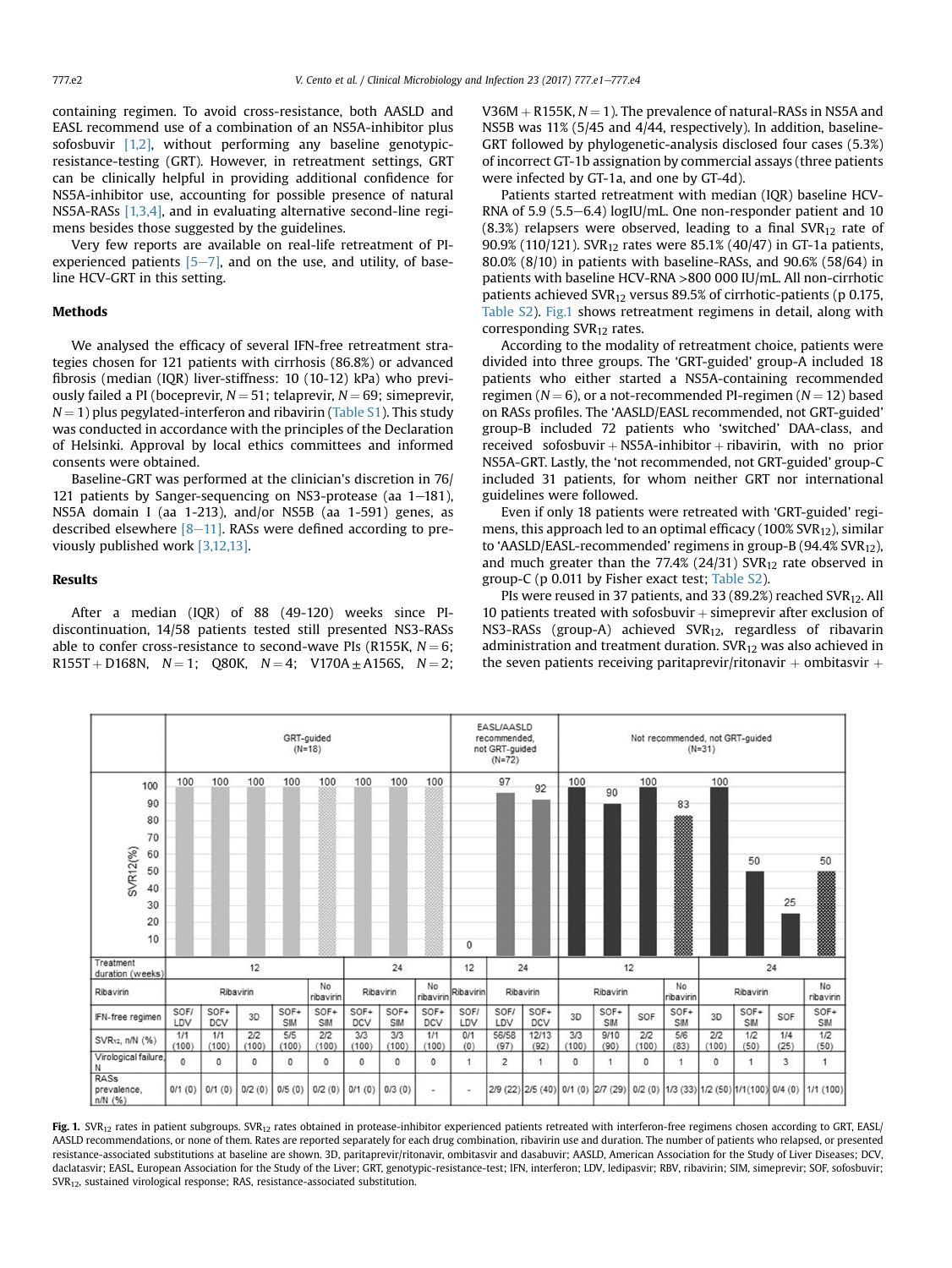containing regimen. To avoid cross-resistance, both AASLD and EASL recommend use of a combination of an NS5A-inhibitor plus sofosbuvir [\[1,2\]](#page-3-0), without performing any baseline genotypicresistance-testing (GRT). However, in retreatment settings, GRT can be clinically helpful in providing additional confidence for NS5A-inhibitor use, accounting for possible presence of natural NS5A-RASs [\[1,3,4\]](#page-3-0), and in evaluating alternative second-line regimens besides those suggested by the guidelines.

Very few reports are available on real-life retreatment of PIexperienced patients  $[5-7]$  $[5-7]$ , and on the use, and utility, of baseline HCV-GRT in this setting.

## Methods

We analysed the efficacy of several IFN-free retreatment strategies chosen for 121 patients with cirrhosis (86.8%) or advanced fibrosis (median (IQR) liver-stiffness: 10 (10-12) kPa) who previously failed a PI (boceprevir,  $N = 51$ ; telaprevir,  $N = 69$ ; simeprevir,  $N = 1$ ) plus pegylated-interferon and ribavirin (Table S1). This study was conducted in accordance with the principles of the Declaration of Helsinki. Approval by local ethics committees and informed consents were obtained.

Baseline-GRT was performed at the clinician's discretion in 76/ 121 patients by Sanger-sequencing on NS3-protease (aa  $1-181$ ), NS5A domain I (aa 1-213), and/or NS5B (aa 1-591) genes, as described elsewhere  $[8-11]$  $[8-11]$ . RASs were defined according to previously published work [\[3,12,13\]](#page-3-0).

### Results

After a median (IQR) of 88 (49-120) weeks since PIdiscontinuation, 14/58 patients tested still presented NS3-RASs able to confer cross-resistance to second-wave PIs (R155K,  $N = 6$ ;  $R155T + D168N$ ,  $N = 1$ ; Q80K,  $N = 4$ ; V170A  $\pm$  A156S,  $N = 2$ ;

V36M  $+$  R155K,  $N = 1$ ). The prevalence of natural-RASs in NS5A and NS5B was 11% (5/45 and 4/44, respectively). In addition, baseline-GRT followed by phylogenetic-analysis disclosed four cases (5.3%) of incorrect GT-1b assignation by commercial assays (three patients were infected by GT-1a, and one by GT-4d).

Patients started retreatment with median (IQR) baseline HCV-RNA of 5.9 (5.5 $-6.4$ ) logIU/mL. One non-responder patient and 10  $(8.3%)$  relapsers were observed, leading to a final SVR<sub>12</sub> rate of 90.9% (110/121). SVR12 rates were 85.1% (40/47) in GT-1a patients, 80.0% (8/10) in patients with baseline-RASs, and 90.6% (58/64) in patients with baseline HCV-RNA >800 000 IU/mL. All non-cirrhotic patients achieved SVR<sub>12</sub> versus 89.5% of cirrhotic-patients (p 0.175, Table S2). Fig.1 shows retreatment regimens in detail, along with corresponding SVR<sub>12</sub> rates.

According to the modality of retreatment choice, patients were divided into three groups. The 'GRT-guided' group-A included 18 patients who either started a NS5A-containing recommended regimen ( $N = 6$ ), or a not-recommended PI-regimen ( $N = 12$ ) based on RASs profiles. The 'AASLD/EASL recommended, not GRT-guided' group-B included 72 patients who 'switched' DAA-class, and received sofosbuvir  $+$  NS5A-inhibitor  $+$  ribavirin, with no prior NS5A-GRT. Lastly, the 'not recommended, not GRT-guided' group-C included 31 patients, for whom neither GRT nor international guidelines were followed.

Even if only 18 patients were retreated with 'GRT-guided' regimens, this approach led to an optimal efficacy ( $100\%$  SVR<sub>12</sub>), similar to 'AASLD/EASL-recommended' regimens in group-B (94.4% SVR<sub>12</sub>), and much greater than the 77.4% (24/31)  $SVR<sub>12</sub>$  rate observed in group-C (p 0.011 by Fisher exact test; Table S2).

PIs were reused in 37 patients, and 33 (89.2%) reached SVR<sub>12</sub>. All 10 patients treated with sofosbuvir  $+$  simeprevir after exclusion of NS3-RASs (group-A) achieved SVR<sub>12</sub>, regardless of ribavarin administration and treatment duration.  $\text{SVR}_{12}$  was also achieved in the seven patients receiving paritaprevir/ritonavir  $+$  ombitasvir  $+$ 



Fig. 1. SVR<sub>12</sub> rates in patient subgroups. SVR<sub>12</sub> rates obtained in protease-inhibitor experienced patients retreated with interferon-free regimens chosen according to GRT, EASL/ AASLD recommendations, or none of them. Rates are reported separately for each drug combination, ribavirin use and duration. The number of patients who relapsed, or presented resistance-associated substitutions at baseline are shown. 3D, paritaprevir/ritonavir, ombitasvir and dasabuvir; AASLD, American Association for the Study of Liver Diseases; DCV, daclatasvir; EASL, European Association for the Study of the Liver; GRT, genotypic-resistance-test; IFN, interferon; LDV, ledipasvir; RBV, ribavirin; SIM, simeprevir; SOF, sofosbuvir; SVR12, sustained virological response; RAS, resistance-associated substitution.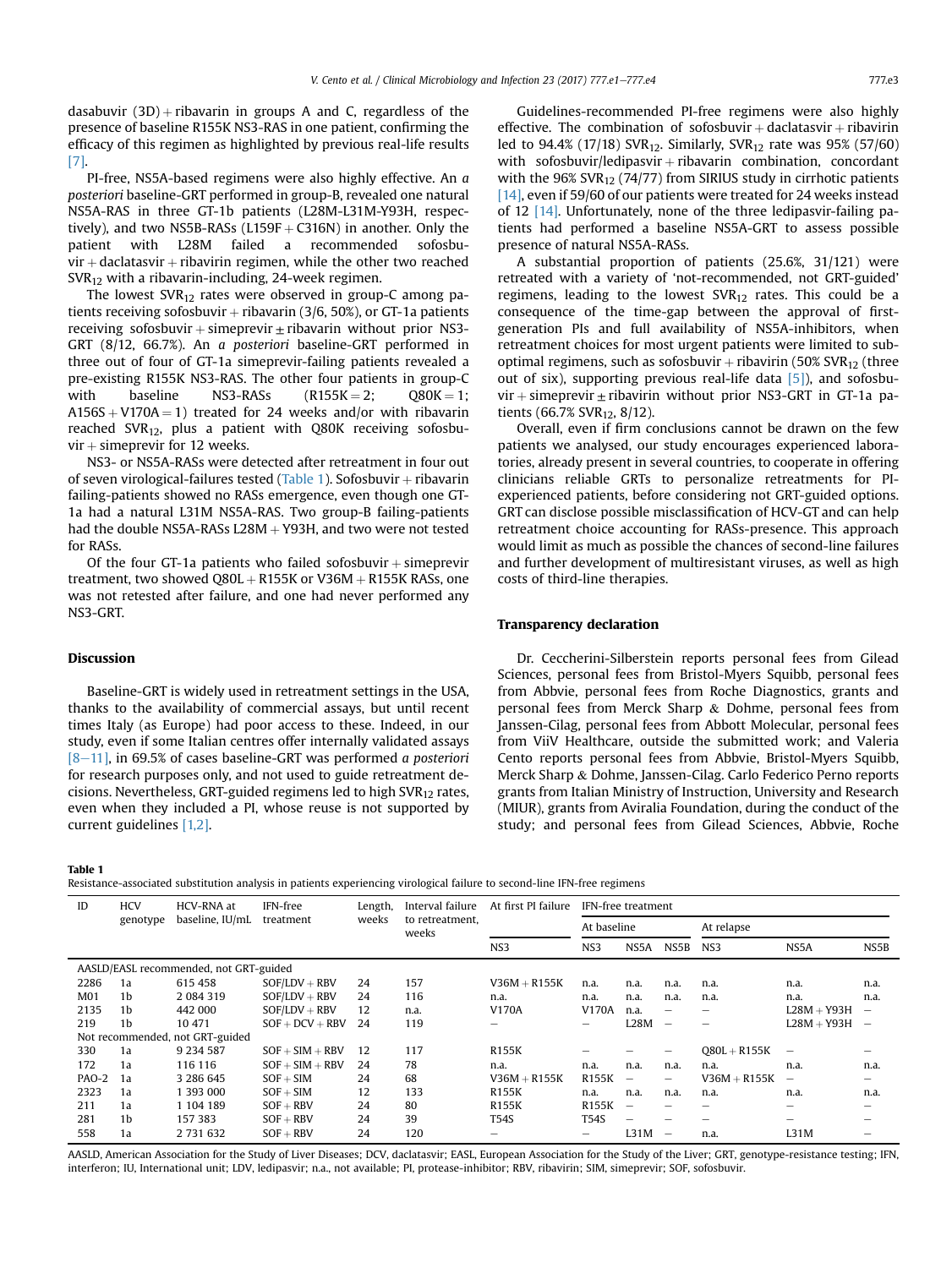dasabuvir  $(3D)$  + ribavarin in groups A and C, regardless of the presence of baseline R155K NS3-RAS in one patient, confirming the efficacy of this regimen as highlighted by previous real-life results [\[7\]](#page-3-0).

PI-free, NS5A-based regimens were also highly effective. An a posteriori baseline-GRT performed in group-B, revealed one natural NS5A-RAS in three GT-1b patients (L28M-L31M-Y93H, respectively), and two NS5B-RASs (L159F  $+$  C316N) in another. Only the patient with L28M failed a recommended sofosbupatient with L28M failed a recommended  $vir +$  daclatasvir  $+$  ribavirin regimen, while the other two reached SVR12 with a ribavarin-including, 24-week regimen.

The lowest  $SVR_{12}$  rates were observed in group-C among patients receiving sofosbuvir  $+$  ribavarin (3/6, 50%), or GT-1a patients receiving sofosbuvir  $+$  simeprevir  $\pm$  ribavarin without prior NS3-GRT (8/12, 66.7%). An a posteriori baseline-GRT performed in three out of four of GT-1a simeprevir-failing patients revealed a pre-existing R155K NS3-RAS. The other four patients in group-C with baseline NS3-RASs  $(R155K = 2; Q80K = 1;$  $A156S + V170A = 1$ ) treated for 24 weeks and/or with ribavarin reached SVR<sub>12</sub>, plus a patient with Q80K receiving sofosbu $vir + s$  imeprevir for 12 weeks.

NS3- or NS5A-RASs were detected after retreatment in four out of seven virological-failures tested (Table 1). Sofosbuvir  $+$  ribavarin failing-patients showed no RASs emergence, even though one GT-1a had a natural L31M NS5A-RAS. Two group-B failing-patients had the double NS5A-RASs  $L28M + Y93H$ , and two were not tested for RASs.

Of the four GT-1a patients who failed sofosbuvir  $+$  simeprevir treatment, two showed Q80L  $+$  R155K or V36M  $+$  R155K RASs, one was not retested after failure, and one had never performed any NS3-GRT.

### Discussion

Baseline-GRT is widely used in retreatment settings in the USA, thanks to the availability of commercial assays, but until recent times Italy (as Europe) had poor access to these. Indeed, in our study, even if some Italian centres offer internally validated assays  $[8-11]$  $[8-11]$ , in 69.5% of cases baseline-GRT was performed a posteriori for research purposes only, and not used to guide retreatment decisions. Nevertheless, GRT-guided regimens led to high SVR12 rates, even when they included a PI, whose reuse is not supported by current guidelines [\[1,2\].](#page-3-0)

#### Table 1

Resistance-associated substitution analysis in patients experiencing virological failure to second-line IFN-free regimens

A substantial proportion of patients (25.6%, 31/121) were retreated with a variety of 'not-recommended, not GRT-guided' regimens, leading to the lowest  $SVR<sub>12</sub>$  rates. This could be a consequence of the time-gap between the approval of firstgeneration PIs and full availability of NS5A-inhibitors, when retreatment choices for most urgent patients were limited to suboptimal regimens, such as sofosbuvir  $+$  ribavirin (50% SVR<sub>12</sub> (three out of six), supporting previous real-life data  $[5]$ ), and sofosbu $vir + s$ imeprevir  $\pm$  ribavirin without prior NS3-GRT in GT-1a patients (66.7% SVR<sub>12</sub>, 8/12).

Overall, even if firm conclusions cannot be drawn on the few patients we analysed, our study encourages experienced laboratories, already present in several countries, to cooperate in offering clinicians reliable GRTs to personalize retreatments for PIexperienced patients, before considering not GRT-guided options. GRT can disclose possible misclassification of HCV-GT and can help retreatment choice accounting for RASs-presence. This approach would limit as much as possible the chances of second-line failures and further development of multiresistant viruses, as well as high costs of third-line therapies.

#### Transparency declaration

Dr. Ceccherini-Silberstein reports personal fees from Gilead Sciences, personal fees from Bristol-Myers Squibb, personal fees from Abbvie, personal fees from Roche Diagnostics, grants and personal fees from Merck Sharp & Dohme, personal fees from Janssen-Cilag, personal fees from Abbott Molecular, personal fees from ViiV Healthcare, outside the submitted work; and Valeria Cento reports personal fees from Abbvie, Bristol-Myers Squibb, Merck Sharp & Dohme, Janssen-Cilag. Carlo Federico Perno reports grants from Italian Ministry of Instruction, University and Research (MIUR), grants from Aviralia Foundation, during the conduct of the study; and personal fees from Gilead Sciences, Abbvie, Roche

| ID                                     | <b>HCV</b> | HCV-RNA at      | IFN-free          | Length, | Interval failure         | At first PI failure | IFN-free treatment |                          |                          |                 |                 |                          |
|----------------------------------------|------------|-----------------|-------------------|---------|--------------------------|---------------------|--------------------|--------------------------|--------------------------|-----------------|-----------------|--------------------------|
|                                        | genotype   | baseline, IU/mL | treatment         | weeks   | to retreatment,<br>weeks |                     | At baseline        |                          |                          | At relapse      |                 |                          |
|                                        |            |                 |                   |         |                          | NS <sub>3</sub>     | NS3                | NS5A                     | NS5B                     | NS <sub>3</sub> | NS5A            | NS5B                     |
| AASLD/EASL recommended, not GRT-guided |            |                 |                   |         |                          |                     |                    |                          |                          |                 |                 |                          |
| 2286                                   | 1a         | 615 458         | $SOF/LDV + RBV$   | 24      | 157                      | $V36M + R155K$      | n.a.               | n.a.                     | n.a.                     | n.a.            | n.a.            | n.a.                     |
| M <sub>01</sub>                        | 1b         | 2 0 8 4 3 1 9   | $SOF/LDV + RBV$   | 24      | 116                      | n.a.                | n.a.               | n.a.                     | n.a.                     | n.a.            | n.a.            | n.a.                     |
| 2135                                   | 1b         | 442 000         | $SOF/LDV + RBV$   | 12      | n.a.                     | V170A               | V170A              | n.a.                     | -                        |                 | $L28M + Y93H$   | -                        |
| 219                                    | 1b         | 10 471          | $SOF + DCV + RBV$ | 24      | 119                      |                     |                    | L28M                     | $\overline{\phantom{a}}$ |                 | $L28M + Y93H$   | $\overline{\phantom{a}}$ |
| Not recommended, not GRT-guided        |            |                 |                   |         |                          |                     |                    |                          |                          |                 |                 |                          |
| 330                                    | 1a         | 9 2 3 4 5 8 7   | $SOF + SIM + RBV$ | 12      | 117                      | <b>R155K</b>        |                    |                          | -                        | $Q80L + R155K$  | -               |                          |
| 172                                    | 1a         | 116 116         | $SOF + SIM + RBV$ | 24      | 78                       | n.a.                | n.a.               | n.a.                     | n.a.                     | n.a.            | n.a.            | n.a.                     |
| PAO-2                                  | 1a         | 3 286 645       | $SOF + SIM$       | 24      | 68                       | $V36M + R155K$      | <b>R155K</b>       | $\overline{\phantom{a}}$ | $\overline{\phantom{0}}$ | $V36M + R155K$  | $\qquad \qquad$ | -                        |
| 2323                                   | 1a         | 1 393 000       | $SOF + SIM$       | 12      | 133                      | <b>R155K</b>        | n.a.               | n.a.                     | n.a.                     | n.a.            | n.a.            | n.a.                     |
| 211                                    | 1a         | 1 104 189       | $SOF + RBV$       | 24      | 80                       | <b>R155K</b>        | <b>R155K</b>       | $\overline{\phantom{a}}$ | -                        |                 | -               |                          |
| 281                                    | 1b         | 157 383         | $SOF + RBV$       | 24      | 39                       | T54S                | <b>T54S</b>        |                          |                          |                 |                 |                          |
| 558                                    | 1a         | 2 731 632       | $SOF + RBV$       | 24      | 120                      | -                   |                    | L31M                     | -                        | n.a.            | L31M            |                          |

AASLD, American Association for the Study of Liver Diseases; DCV, daclatasvir; EASL, European Association for the Study of the Liver; GRT, genotype-resistance testing; IFN, interferon; IU, International unit; LDV, ledipasvir; n.a., not available; PI, protease-inhibitor; RBV, ribavirin; SIM, simeprevir; SOF, sofosbuvir.